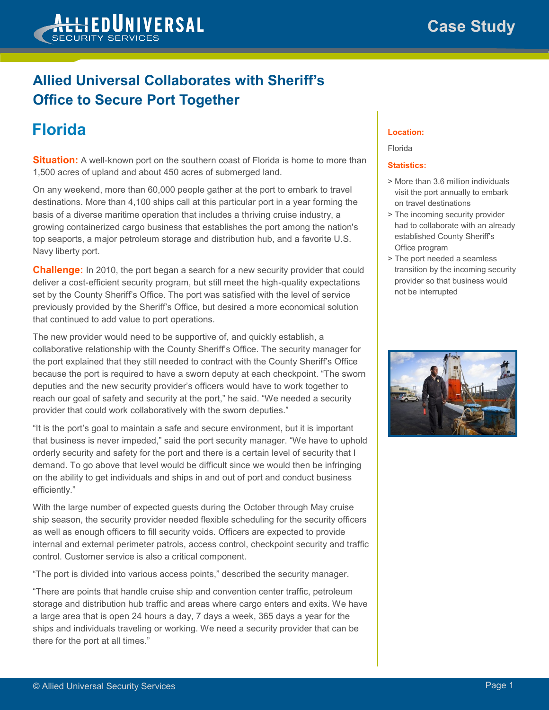

### **Allied Universal Collaborates with Sheriff's Office to Secure Port Together**

# **Florida**

**Situation:** A well-known port on the southern coast of Florida is home to more than 1,500 acres of upland and about 450 acres of submerged land.

On any weekend, more than 60,000 people gather at the port to embark to travel destinations. More than 4,100 ships call at this particular port in a year forming the basis of a diverse maritime operation that includes a thriving cruise industry, a growing containerized cargo business that establishes the port among the nation's top seaports, a major petroleum storage and distribution hub, and a favorite U.S. Navy liberty port.

**Challenge:** In 2010, the port began a search for a new security provider that could deliver a cost-efficient security program, but still meet the high-quality expectations set by the County Sheriff's Office. The port was satisfied with the level of service previously provided by the Sheriff's Office, but desired a more economical solution that continued to add value to port operations.

The new provider would need to be supportive of, and quickly establish, a collaborative relationship with the County Sheriff's Office. The security manager for the port explained that they still needed to contract with the County Sheriff's Office because the port is required to have a sworn deputy at each checkpoint. "The sworn deputies and the new security provider's officers would have to work together to reach our goal of safety and security at the port," he said. "We needed a security provider that could work collaboratively with the sworn deputies."

"It is the port's goal to maintain a safe and secure environment, but it is important that business is never impeded," said the port security manager. "We have to uphold orderly security and safety for the port and there is a certain level of security that I demand. To go above that level would be difficult since we would then be infringing on the ability to get individuals and ships in and out of port and conduct business efficiently."

With the large number of expected guests during the October through May cruise ship season, the security provider needed flexible scheduling for the security officers as well as enough officers to fill security voids. Officers are expected to provide internal and external perimeter patrols, access control, checkpoint security and traffic control. Customer service is also a critical component.

"The port is divided into various access points," described the security manager.

"There are points that handle cruise ship and convention center traffic, petroleum storage and distribution hub traffic and areas where cargo enters and exits. We have a large area that is open 24 hours a day, 7 days a week, 365 days a year for the ships and individuals traveling or working. We need a security provider that can be there for the port at all times."

#### **Location:**

#### Florida

#### **Statistics:**

- > More than 3.6 million individuals visit the port annually to embark on travel destinations
- > The incoming security provider had to collaborate with an already established County Sheriff's Office program
- > The port needed a seamless transition by the incoming security provider so that business would not be interrupted

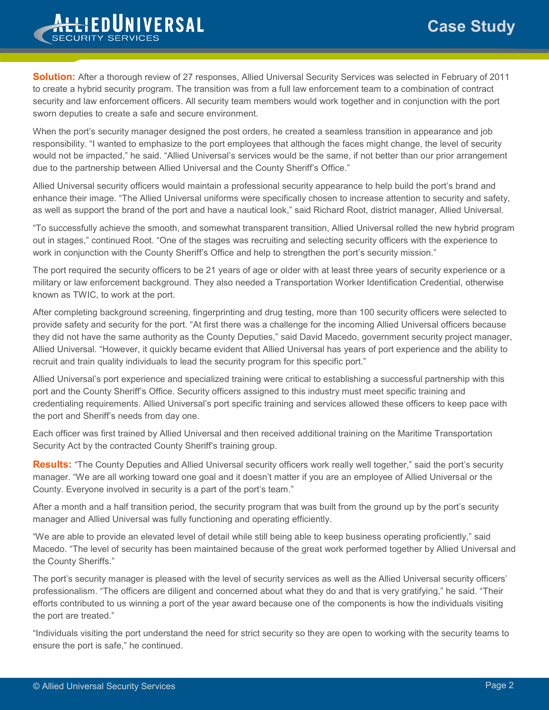## **Case Study**



**Solution:** After a thorough review of 27 responses, Allied Universal Security Services was selected in February of 2011 to create a hybrid security program. The transition was from a full law enforcement team to a combination of contract security and law enforcement officers. All security team members would work together and in conjunction with the port sworn deputies to create a safe and secure environment.

When the port's security manager designed the post orders, he created a seamless transition in appearance and job responsibility. "I wanted to emphasize to the port employees that although the faces might change, the level of security would not be impacted," he said. "Allied Universal's services would be the same, if not better than our prior arrangement due to the partnership between Allied Universal and the County Sheriff's Office."

Allied Universal security officers would maintain a professional security appearance to help build the port's brand and enhance their image. "The Allied Universal uniforms were specifically chosen to increase attention to security and safety, as well as support the brand of the port and have a nautical look," said Richard Root, district manager, Allied Universal.

"To successfully achieve the smooth, and somewhat transparent transition, Allied Universal rolled the new hybrid program out in stages," continued Root. "One of the stages was recruiting and selecting security officers with the experience to work in conjunction with the County Sheriff's Office and help to strengthen the port's security mission."

The port required the security officers to be 21 years of age or older with at least three years of security experience or a military or law enforcement background. They also needed a Transportation Worker Identification Credential, otherwise known as TWIC, to work at the port.

After completing background screening, fingerprinting and drug testing, more than 100 security officers were selected to provide safety and security for the port. "At first there was a challenge for the incoming Allied Universal officers because they did not have the same authority as the County Deputies," said David Macedo, government security project manager, Allied Universal. "However, it quickly became evident that Allied Universal has years of port experience and the ability to recruit and train quality individuals to lead the security program for this specific port."

Allied Universal's port experience and specialized training were critical to establishing a successful partnership with this port and the County Sheriff's Office. Security officers assigned to this industry must meet specific training and credentialing requirements. Allied Universal's port specific training and services allowed these officers to keep pace with the port and Sheriff's needs from day one.

Each officer was first trained by Allied Universal and then received additional training on the Maritime Transportation Security Act by the contracted County Sheriff's training group.

**Results:** "The County Deputies and Allied Universal security officers work really well together," said the port's security manager. "We are all working toward one goal and it doesn't matter if you are an employee of Allied Universal or the County. Everyone involved in security is a part of the port's team."

After a month and a half transition period, the security program that was built from the ground up by the port's security manager and Allied Universal was fully functioning and operating efficiently.

"We are able to provide an elevated level of detail while still being able to keep business operating proficiently," said Macedo. "The level of security has been maintained because of the great work performed together by Allied Universal and the County Sheriffs."

The port's security manager is pleased with the level of security services as well as the Allied Universal security officers' professionalism. "The officers are diligent and concerned about what they do and that is very gratifying," he said. "Their efforts contributed to us winning a port of the year award because one of the components is how the individuals visiting the port are treated."

"Individuals visiting the port understand the need for strict security so they are open to working with the security teams to ensure the port is safe," he continued.